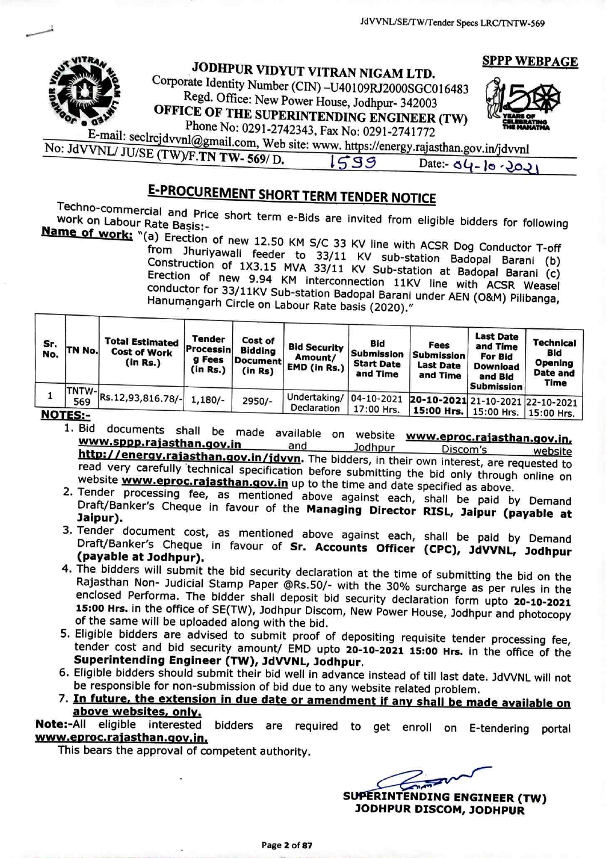$\frac{3}{2}$  by  $\frac{3}{2}$  by  $\frac{3}{2}$ 

NOTICE IN THE CONTINUES OF THE CONTINUES OF THE CONTINUES OF THE CONTINUES OF THE CONTINUES OF THE CONTINUES OF



JULI VIDA VITRAIN INTU

NIGATION CONTINUES INTO A REPORT OF THE CONTINUES OF THE CONTINUES OF THE CONTINUES OF THE CONTINUES OF THE CONTINUES OF THE CONTINUES OF THE CONTINUES OF THE CONTINUES OF THE CONTINUES OF THE CONTINUES OF THE CONTINUES OF Corporate Identity Number (CIN) -U40109RJ2000SGC016483 Regd. Office: New Power House, UFFICE OF THE SUPERINTENDING ENGINEER (TW)



-Q0Q)

PRODUCTS A REPORT OF THE SERVICE CONTINUES OF THE SERVICE CONTINUES OF THE SERVICE CONTINUES OF THE SERVICE CONTINUES OF THE SERVICE CONTINUES OF THE OWNER WHEN

E-mail: seclrejdvvnl@gmail.com, Web site: www. https://energy.rajasthan.gov.in/jdvvnl<br>VNL/ JU/SE (TW)/F TN TW, 560/ D  $N_{\text{NLO}}$  JO/SE (TW)/F.TN TW- 569/ D.

# **Express SHORT TENDY TENDER NC**

Technology and the commercial commercial commercial commercial commercial commercial commercial commercial commercial commercial commercial commercial commercial commercial commercial commercial commercial commercial comme work on Labour Rate Basis:-<br>me of the Basis:-

> <sup>28</sup> (a) from Erection of new 12.50 KM S/C <sup>33</sup> KV line with ACSR Dog Conductor T-off Construction of  $1\times3.15$  MVA 33/11 KV sub-station Badopal Barani (b) Erection of new 9.94 KM interconnection 4.10% is Badopal Barani conductor for 33/11KV Sub-station Badenal Barrell, the with ACSR Weasel  $\therefore$   $\therefore$   $\therefore$   $\therefore$   $\therefore$   $\therefore$   $\therefore$   $\therefore$   $\therefore$   $\therefore$   $\therefore$   $\therefore$   $\therefore$   $\therefore$   $\therefore$   $\therefore$   $\therefore$   $\therefore$   $\therefore$   $\therefore$   $\therefore$   $\therefore$   $\therefore$   $\therefore$   $\therefore$   $\therefore$   $\therefore$   $\therefore$   $\therefore$   $\therefore$   $\therefore$   $\therefore$   $\therefore$   $\therefore$   $\therefore$   $\therefore$   $\therefore$ for 33/11KV Sub-station Badopal Barani under AEN (O&M) Pilibanga,

| Sr.<br>No.     | TN No.               | Total Estimated<br><b>Cost of Work</b><br>(in Rs.) | <b>Tender</b><br>Processin<br>g Fees<br>(in Rs.) | Cost of<br><b>Bidding</b><br><b>Document</b><br>(in Rs) | <b>Bid Security</b><br>Amount/<br>EMD (in Rs.) | Bid<br>Submission<br><b>Start Date</b><br>and Time | Fees<br><b>Submission</b><br><b>Last Date</b><br>and Time | <b>Last Date</b><br>and Time<br>For Bid<br><b>Download</b><br>and Bid | Technical<br>Bid<br>Opening<br>Date and<br>Time |
|----------------|----------------------|----------------------------------------------------|--------------------------------------------------|---------------------------------------------------------|------------------------------------------------|----------------------------------------------------|-----------------------------------------------------------|-----------------------------------------------------------------------|-------------------------------------------------|
|                | <b>TNTW-L</b><br>569 | Rs.12,93,816.78/-                                  | $1,180/-$                                        | $2950/-$                                                | Undertaking/   04-10-2021                      |                                                    | 20-10-2021 21-10-2021 22-10-2021                          | <b>Submission</b>                                                     |                                                 |
| <b>NOTES:-</b> |                      |                                                    |                                                  |                                                         | Declaration                                    | 17:00 Hrs.                                         | 15:00 Hrs.   15:00 Hrs.   15:00 Hrs.                      |                                                                       |                                                 |

NOTE: NOTE: NOTE: NOTE: NOTE: NOTE: NOTE: NOTE: NOTE: NOTE: NOTE: NOTE: NOTE: NOTE: NOTE: NOTE: NOTE: NOTE: NOTE: NOTE: NOTE: NOTE: NOTE: NOTE: NOTE: NOTE: NOTE: NOTE: NOTE: NOTE: NOTE: NOTE: NOTE: NOTE: NOTE: NOTE: NOTE:

- www.sppp.raiasthan.gov.in and Jodhpur ww.spp?rajasthan.gov.in.com/www.spp?rajasthan.gov.in.com/ //energy.rajasthan.gov.in/jdvyn. The bidders, in their own interest, are requested to<br>very carefully technical specification hefous website www.enror relation specification before submitting the bid only through online on **Forder expressions of the superior way. The time and date sp**
- render processing fee, as mentioned above against each, shall be paid by Drait/Banker's Cheque in favour of the **Managing Director RISL, Jaipur (payable at**<br>Jaipur). Jaipur).
- Draft/Banker's Cheaux, is foundled above against each, shall be paid by Demand  $D_0$  and  $D_1$  and  $D_2$  in favour of Sr. Accounts Officer (CPC), JdVVNL, (payable at Jodhpur).
- Briggian bid security declaration at the time or submitting the bid on the Rajasthan Non- Judicial Stamp Paper @Rs.50/- with the 30% surcharge as per rules in the  $\epsilon$  enclose  $\epsilon$  and  $\epsilon$  shall deposit bid security declaration form upto 15:00 Hrs. in the office of SE(TW), Jodhpur Discom, New Power House, Jodhpur and photocopy photocopy that the company's structure and in the company's property of the company's  $\sim$  the same will be same will be will uploaded along with the bid. The bid with the bid. The bid with the bid. The bid with the bid. The bid with th
- $\mathbf{E}$  is a construction of depositing requisite tender  $\mathbf{E}$ tender cost and bid security amount/ EMD upto 20-10-2021 15:00 Hrs. in the office of the Superintending Engineer (TW), JdVVNL, Jodhpur.
- $\mathbf{E}$  is a construction submit their bid well in advance instead of till last date. JdVVNL will not be responsible for non-submission of bid due to any website related
- 7. In future, the extension in due date or amendment if any shall be mag above websites, only.

Note:-All eligible interested bidders are required to get enroll on €E-tendering portal

This bears the approval of competent authority.

EER RINTENDING ENGINEERING (11 JODHPUR DISCOM, JODHPUR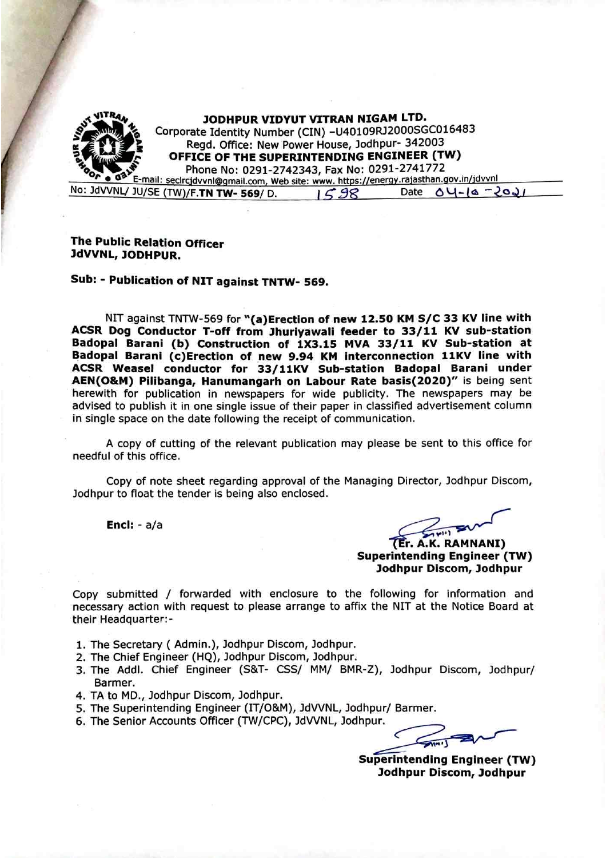

# JODHPUR VIDYUT VITRAN NIGAM LTD. Corporate Identity Number (CIN) -U40109RJ2000SGC016483 Regd. Office: New Power House, Jodhpur- 342003<br>OFFICE OF THE SUPERINTENDING ENGINEER (TW) Fax No: 0291-2742343, Fax No: 0291-2741772<br>frail: secircjdvvnl@gmail.com, Web site: www. https://energy.rajasthan.gov.in/jdvvnl-

No: JdVVNL/ JU/SE (TW)/F.TN TW- 569/ D.  $1598$  Date OU-la -2021

## The Public Relation Officer JdVVNL, JODHPUR.

## Sub: Publication of NIT against TNTW- 569.

NIT against TNTW-569 for "(a)Erection of new 12.50 KM S/C 33 KV line with<br>ACSR Dog Conductor T-off from Jhuriyawali feeder to 33/11 KV sub-station<br>Badopal Barani (b) Construction of 1X3.15 MVA 33/11 KV Sub-station at<br>Bado advised to publish it in one single issue of their paper in classified advertisement column in single space on the date following the receipt of communication.

copy of cutting of the relevant publication may please be sent to this office for needful of this office.

Copy of note sheet regarding approval of the Managing Director, Jodhpur Discom, Jodhpur to float the tender is being also enclosed.

Encl: - a/a

**(Er. A.K. RAMNANI)**<br>Superintending Engineer (TW) Jodhpur Discom, Jodhpur

Copy submitted / forwarded with enclosure to the following for information and necessary action with request to please arrange to affix the NIT at the Notice Board at their Headquarter:

- 
- 
- The Secretary (Admin.), Jodhpur Discom, Jodhpur.<br>2. The Chief Engineer (HQ), Jodhpur Discom, Jodhpur.<br>3. The Addl. Chief Engineer (S&T- CSS/ MM/ BMR-Z), Jodhpur Discom, Jodhpur/<br>Barmer.
- 
- 4. TA to MD., Jodhpur Discom, Jodhpur.<br>5. The Superintending Engineer (IT/O&M), JdVVNL, Jodhpur/ Barmer.<br>6. The Senior Accounts Officer (TW/CPC), JdVVNL, Jodhpur.
- 

wnt)

Superintending Engineer (TW) Jodhpur Discom, Jodhpur